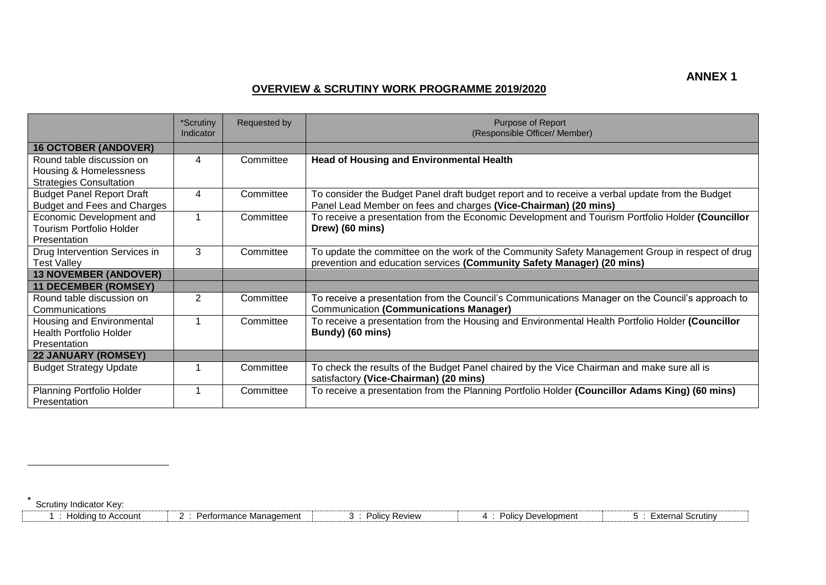## **OVERVIEW & SCRUTINY WORK PROGRAMME 2019/2020**

|                                                                                       | *Scrutiny<br>Indicator | Requested by | Purpose of Report<br>(Responsible Officer/ Member)                                                                                                                        |
|---------------------------------------------------------------------------------------|------------------------|--------------|---------------------------------------------------------------------------------------------------------------------------------------------------------------------------|
| <b>16 OCTOBER (ANDOVER)</b>                                                           |                        |              |                                                                                                                                                                           |
| Round table discussion on<br>Housing & Homelessness<br><b>Strategies Consultation</b> | 4                      | Committee    | <b>Head of Housing and Environmental Health</b>                                                                                                                           |
| <b>Budget Panel Report Draft</b><br>Budget and Fees and Charges                       | 4                      | Committee    | To consider the Budget Panel draft budget report and to receive a verbal update from the Budget<br>Panel Lead Member on fees and charges (Vice-Chairman) (20 mins)        |
| Economic Development and<br>Tourism Portfolio Holder<br>Presentation                  | 1                      | Committee    | To receive a presentation from the Economic Development and Tourism Portfolio Holder (Councillor<br>Drew) (60 mins)                                                       |
| Drug Intervention Services in<br><b>Test Valley</b>                                   | 3                      | Committee    | To update the committee on the work of the Community Safety Management Group in respect of drug<br>prevention and education services (Community Safety Manager) (20 mins) |
| <b>13 NOVEMBER (ANDOVER)</b>                                                          |                        |              |                                                                                                                                                                           |
| <b>11 DECEMBER (ROMSEY)</b>                                                           |                        |              |                                                                                                                                                                           |
| Round table discussion on<br>Communications                                           | 2                      | Committee    | To receive a presentation from the Council's Communications Manager on the Council's approach to<br><b>Communication (Communications Manager)</b>                         |
| Housing and Environmental<br><b>Health Portfolio Holder</b><br>Presentation           |                        | Committee    | To receive a presentation from the Housing and Environmental Health Portfolio Holder (Councillor<br>Bundy) (60 mins)                                                      |
| <b>22 JANUARY (ROMSEY)</b>                                                            |                        |              |                                                                                                                                                                           |
| <b>Budget Strategy Update</b>                                                         | 1                      | Committee    | To check the results of the Budget Panel chaired by the Vice Chairman and make sure all is<br>satisfactory (Vice-Chairman) (20 mins)                                      |
| Planning Portfolio Holder<br>Presentation                                             | 1                      | Committee    | To receive a presentation from the Planning Portfolio Holder (Councillor Adams King) (60 mins)                                                                            |

**\*** Scrutiny Indicator Key:

 $\overline{a}$ 

| <b>\ccount</b><br>anolding to ⊺ | . Management<br>rormance<br>$\overline{\phantom{a}}$ | $P_{OMOM}$<br>، دەنل<br>╌<br>ו שטוע<br>. | <b>Jevelopment</b><br>יטווט׳ | ' Scrutin<br>.vtarnal |
|---------------------------------|------------------------------------------------------|------------------------------------------|------------------------------|-----------------------|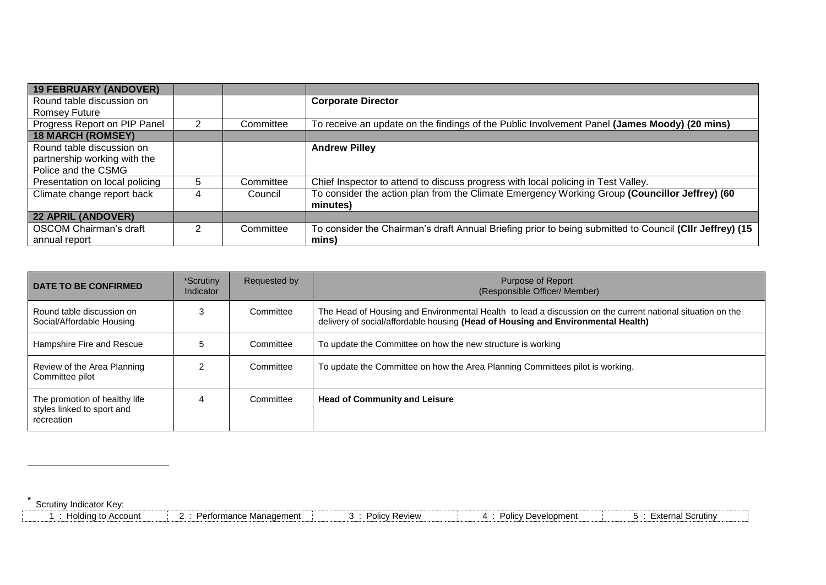| <b>19 FEBRUARY (ANDOVER)</b>   |   |           |                                                                                                         |
|--------------------------------|---|-----------|---------------------------------------------------------------------------------------------------------|
| Round table discussion on      |   |           | <b>Corporate Director</b>                                                                               |
| Romsey Future                  |   |           |                                                                                                         |
| Progress Report on PIP Panel   | 2 | Committee | To receive an update on the findings of the Public Involvement Panel (James Moody) (20 mins)            |
| <b>18 MARCH (ROMSEY)</b>       |   |           |                                                                                                         |
| Round table discussion on      |   |           | <b>Andrew Pilley</b>                                                                                    |
| partnership working with the   |   |           |                                                                                                         |
| Police and the CSMG            |   |           |                                                                                                         |
| Presentation on local policing | 5 | Committee | Chief Inspector to attend to discuss progress with local policing in Test Valley.                       |
| Climate change report back     | 4 | Council   | To consider the action plan from the Climate Emergency Working Group (Councillor Jeffrey) (60           |
|                                |   |           | minutes)                                                                                                |
| <b>22 APRIL (ANDOVER)</b>      |   |           |                                                                                                         |
| <b>OSCOM Chairman's draft</b>  | 2 | Committee | To consider the Chairman's draft Annual Briefing prior to being submitted to Council (CIIr Jeffrey) (15 |
| annual report                  |   |           | mins)                                                                                                   |

| DATE TO BE CONFIRMED                                                      | *Scrutiny<br>Indicator | Requested by | Purpose of Report<br>(Responsible Officer/ Member)                                                                                                                                             |
|---------------------------------------------------------------------------|------------------------|--------------|------------------------------------------------------------------------------------------------------------------------------------------------------------------------------------------------|
| Round table discussion on<br>Social/Affordable Housing                    |                        | Committee    | The Head of Housing and Environmental Health to lead a discussion on the current national situation on the<br>delivery of social/affordable housing (Head of Housing and Environmental Health) |
| Hampshire Fire and Rescue                                                 |                        | Committee    | To update the Committee on how the new structure is working                                                                                                                                    |
| Review of the Area Planning<br>Committee pilot                            |                        | Committee    | To update the Committee on how the Area Planning Committees pilot is working.                                                                                                                  |
| The promotion of healthy life<br>styles linked to sport and<br>recreation |                        | Committee    | <b>Head of Community and Leisure</b>                                                                                                                                                           |

**\*** Scrutiny Indicator Key:

 $\overline{a}$ 

| Holding to Account | Performance Management | <b>Policy Review</b> | <sup>'</sup> Development<br>Polic' | <del>E</del> xternal Scrutin∨ |
|--------------------|------------------------|----------------------|------------------------------------|-------------------------------|
|--------------------|------------------------|----------------------|------------------------------------|-------------------------------|